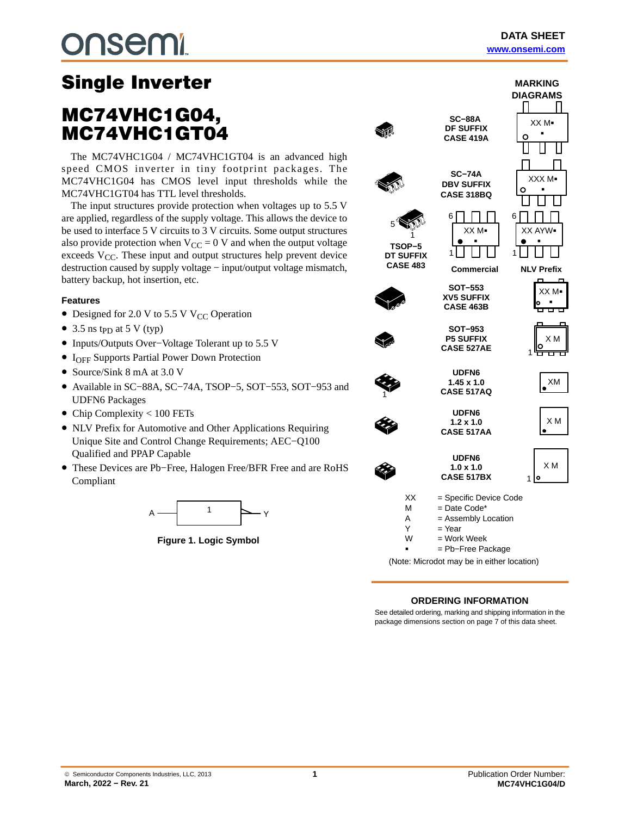# nsem.

## Single Inverter<br>MC74VHC1G04, MC74VHC1GT04

The MC74VHC1G04 / MC74VHC1GT04 is an advanced high speed CMOS inverter in tiny footprint packages. The MC74VHC1G04 has CMOS level input thresholds while the MC74VHC1GT04 has TTL level thresholds.

The input structures provide protection when voltages up to 5.5 V are applied, regardless of the supply voltage. This allows the device to be used to interface 5 V circuits to 3 V circuits. Some output structures also provide protection when  $V_{CC} = 0$  V and when the output voltage exceeds  $V_{CC}$ . These input and output structures help prevent device destruction caused by supply voltage − input/output voltage mismatch, battery backup, hot insertion, etc.

### **Features**

- Designed for 2.0 V to 5.5 V V<sub>CC</sub> Operation
- 3.5 ns t<sub>PD</sub> at 5 V (typ)
- Inputs/Outputs Over−Voltage Tolerant up to 5.5 V
- IOFF Supports Partial Power Down Protection
- Source/Sink 8 mA at 3.0 V
- Available in SC−88A, SC−74A, TSOP−5, SOT−553, SOT−953 and UDFN6 Packages
- Chip Complexity < 100 FETs
- NLV Prefix for Automotive and Other Applications Requiring Unique Site and Control Change Requirements; AEC−Q100 Qualified and PPAP Capable
- These Devices are Pb−Free, Halogen Free/BFR Free and are RoHS Compliant



**Figure 1. Logic Symbol**

|                 |                                            | MARKING           |
|-----------------|--------------------------------------------|-------------------|
|                 |                                            | <b>DIAGRAMS</b>   |
|                 |                                            |                   |
|                 | <b>SC-88A</b>                              |                   |
|                 | <b>DF SUFFIX</b>                           | XXM-              |
|                 | <b>CASE 419A</b>                           | C                 |
|                 |                                            |                   |
|                 |                                            |                   |
|                 |                                            |                   |
|                 | <b>SC-74A</b><br><b>DBV SUFFIX</b>         | XXXM.             |
|                 | CASE 318BQ                                 |                   |
|                 |                                            |                   |
|                 | 6                                          | 6                 |
|                 |                                            |                   |
|                 | XXM-                                       | XX AY<br>w.       |
| TSOP-5          |                                            |                   |
| DT SUFFIX       |                                            |                   |
| <b>CASE 483</b> | Commercial                                 | <b>NLV Prefix</b> |
|                 |                                            | Ċ                 |
|                 | <b>SOT-553</b>                             | XXM-              |
|                 | <b>XV5 SUFFIX</b><br><b>CASE 463B</b>      |                   |
|                 |                                            |                   |
|                 | SOT-953                                    |                   |
|                 | <b>P5 SUFFIX</b>                           | X M               |
|                 | <b>CASE 527AE</b>                          |                   |
|                 |                                            |                   |
|                 | <b>UDFN6</b>                               |                   |
|                 | $1.45 \times 1.0$                          | XM                |
|                 | <b>CASE 517AQ</b>                          |                   |
|                 | <b>UDFN6</b>                               |                   |
|                 | $1.2 \times 1.0$                           | XM                |
|                 | <b>CASE 517AA</b>                          |                   |
|                 |                                            |                   |
|                 | <b>UDFN6</b>                               |                   |
|                 | $1.0 \times 1.0$                           | X <sub>M</sub>    |
|                 | <b>CASE 517BX</b>                          | ٥<br>1            |
| XX              | = Specific Device Code                     |                   |
| М               | = Date Code*                               |                   |
| Α               | = Assembly Location                        |                   |
| Y               | = Year                                     |                   |
| W               | = Work Week                                |                   |
|                 | = Pb-Free Package                          |                   |
|                 | (Note: Microdot may be in either location) |                   |
|                 |                                            |                   |

### **ORDERING INFORMATION**

See detailed ordering, marking and shipping information in the package dimensions section on page [7](#page-6-0) of this data sheet.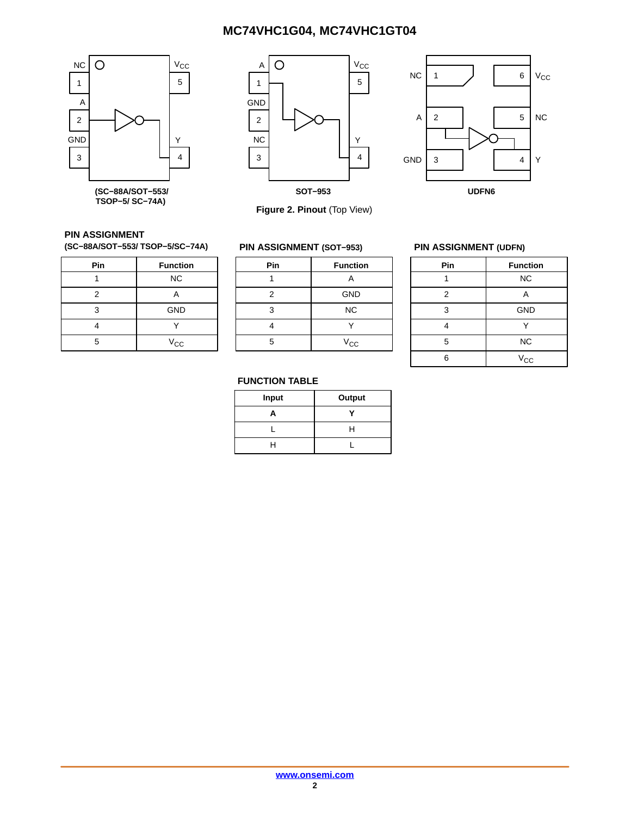



 $NC 1$   $J 1 6$   $V_{CC}$ A GND 3  $\vert$  4  $\vert$  Y 1 2 3 5 4 6 NC **UDFN6**

**Figure 2. Pinout** (Top View)

## **PIN ASSIGNMENT**

**(SC−88A/SOT−553/ TSOP−5/SC−74A)**

| Pin | <b>Function</b> |
|-----|-----------------|
|     | <b>NC</b>       |
| 2   | Д               |
| 3   | <b>GND</b>      |
|     |                 |
| 5   | $V_{CC}$        |

| <b>PIN ASSIGNMENT (SOT-953)</b> |                 |  |  |  |  |
|---------------------------------|-----------------|--|--|--|--|
| Pin                             | <b>Function</b> |  |  |  |  |
|                                 | А               |  |  |  |  |
| 2                               | GND             |  |  |  |  |
| 3                               | <b>NC</b>       |  |  |  |  |
|                                 |                 |  |  |  |  |
| 5                               | $V_{\rm CC}$    |  |  |  |  |

### **PIN ASSIGNMENT (UDFN)**

| Pin | <b>Function</b> |
|-----|-----------------|
|     | <b>NC</b>       |
| 2   | Α               |
| 3   | <b>GND</b>      |
|     |                 |
| 5   | <b>NC</b>       |
| ี่ค | $V_{\rm CC}$    |

### **FUNCTION TABLE**

| Input | Output |
|-------|--------|
| А     |        |
|       | н      |
| н     |        |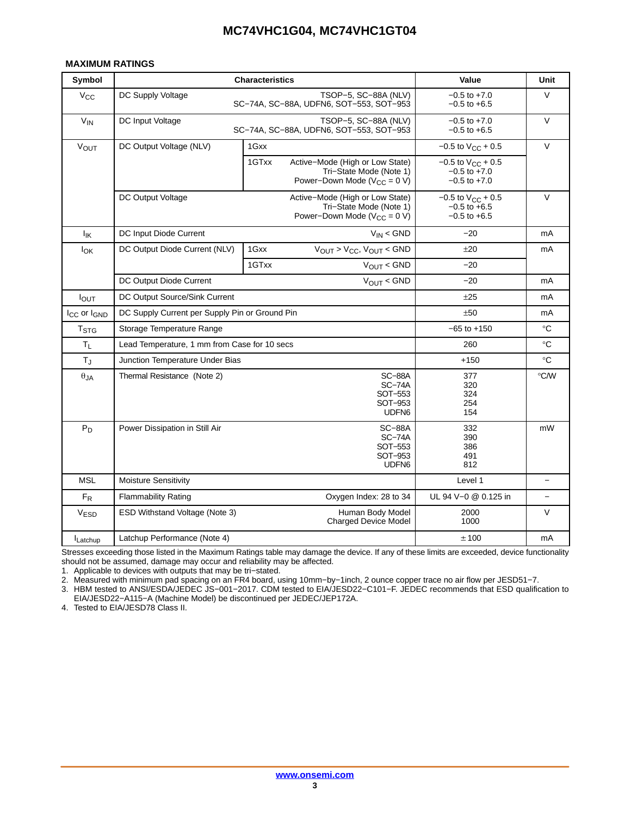### <span id="page-2-0"></span>**MAXIMUM RATINGS**

| Symbol                              | <b>Characteristics</b>                         | Value                                                                                                     | Unit                                                             |                   |
|-------------------------------------|------------------------------------------------|-----------------------------------------------------------------------------------------------------------|------------------------------------------------------------------|-------------------|
| $V_{\rm CC}$                        | DC Supply Voltage                              | TSOP-5, SC-88A (NLV)<br>SC-74A, SC-88A, UDFN6, SOT-553, SOT-953                                           | $-0.5$ to $+7.0$<br>$-0.5$ to $+6.5$                             | $\vee$            |
| $V_{IN}$                            | DC Input Voltage                               | TSOP-5, SC-88A (NLV)<br>SC-74A, SC-88A, UDFN6, SOT-553, SOT-953                                           | $-0.5$ to $+7.0$<br>$-0.5$ to $+6.5$                             | $\vee$            |
| $V_{OUT}$                           | DC Output Voltage (NLV)                        | 1Gxx                                                                                                      | $-0.5$ to $V_{CC}$ + 0.5                                         | $\vee$            |
|                                     |                                                | 1GTxx<br>Active-Mode (High or Low State)<br>Tri-State Mode (Note 1)<br>Power–Down Mode ( $V_{CC} = 0 V$ ) | $-0.5$ to $V_{CC}$ + 0.5<br>$-0.5$ to $+7.0$<br>$-0.5$ to $+7.0$ |                   |
|                                     | DC Output Voltage                              | Active-Mode (High or Low State)<br>Tri-State Mode (Note 1)<br>Power–Down Mode ( $V_{CC} = 0 V$ )          | $-0.5$ to $V_{CC}$ + 0.5<br>$-0.5$ to $+6.5$<br>$-0.5$ to $+6.5$ | $\vee$            |
| $I_{\mathsf{IK}}$                   | DC Input Diode Current                         | $V_{IN}$ < GND                                                                                            | $-20$                                                            | mA                |
| $I_{OK}$                            | DC Output Diode Current (NLV)                  | $V_{OUT}$ > $V_{CC}$ , $V_{OUT}$ < GND<br>1Gxx                                                            | ±20                                                              | mA                |
|                                     |                                                | 1GTxx<br>$V_{\text{OUT}} <$ GND                                                                           | $-20$                                                            |                   |
|                                     | DC Output Diode Current                        | $V_{\text{OUT}} <$ GND                                                                                    | $-20$                                                            | mA                |
| I <sub>OUT</sub>                    | DC Output Source/Sink Current                  | ±25                                                                                                       | mA                                                               |                   |
| I <sub>CC</sub> or I <sub>GND</sub> | DC Supply Current per Supply Pin or Ground Pin | ±50                                                                                                       | mA                                                               |                   |
| <b>T</b> <sub>STG</sub>             | Storage Temperature Range                      |                                                                                                           | $-65$ to $+150$                                                  | $^{\circ}{\rm C}$ |
| $T_{L}$                             | Lead Temperature, 1 mm from Case for 10 secs   |                                                                                                           | 260                                                              | $^{\circ}C$       |
| $T_{\rm J}$                         | Junction Temperature Under Bias                |                                                                                                           | $+150$                                                           | $^{\circ}C$       |
| $\theta$ JA                         | Thermal Resistance (Note 2)                    | 377<br>320<br>324<br>254<br>154                                                                           | °C/W                                                             |                   |
| $P_D$                               | Power Dissipation in Still Air                 | 332<br>390<br>386<br>491<br>812                                                                           | mW                                                               |                   |
| <b>MSL</b>                          | Moisture Sensitivity                           | Level 1                                                                                                   | $\overline{\phantom{0}}$                                         |                   |
| $F_R$                               | <b>Flammability Rating</b>                     | Oxygen Index: 28 to 34                                                                                    | UL 94 V-0 @ 0.125 in                                             |                   |
| <b>VESD</b>                         | ESD Withstand Voltage (Note 3)                 | Human Body Model<br><b>Charged Device Model</b>                                                           | 2000<br>1000                                                     | V                 |
| Latchup                             | Latchup Performance (Note 4)                   |                                                                                                           | ±100                                                             | mA                |

Stresses exceeding those listed in the Maximum Ratings table may damage the device. If any of these limits are exceeded, device functionality should not be assumed, damage may occur and reliability may be affected.

1. Applicable to devices with outputs that may be tri−stated.

2. Measured with minimum pad spacing on an FR4 board, using 10mm−by−1inch, 2 ounce copper trace no air flow per JESD51−7.

3. HBM tested to ANSI/ESDA/JEDEC JS−001−2017. CDM tested to EIA/JESD22−C101−F. JEDEC recommends that ESD qualification to EIA/JESD22−A115−A (Machine Model) be discontinued per JEDEC/JEP172A.

4. Tested to EIA/JESD78 Class II.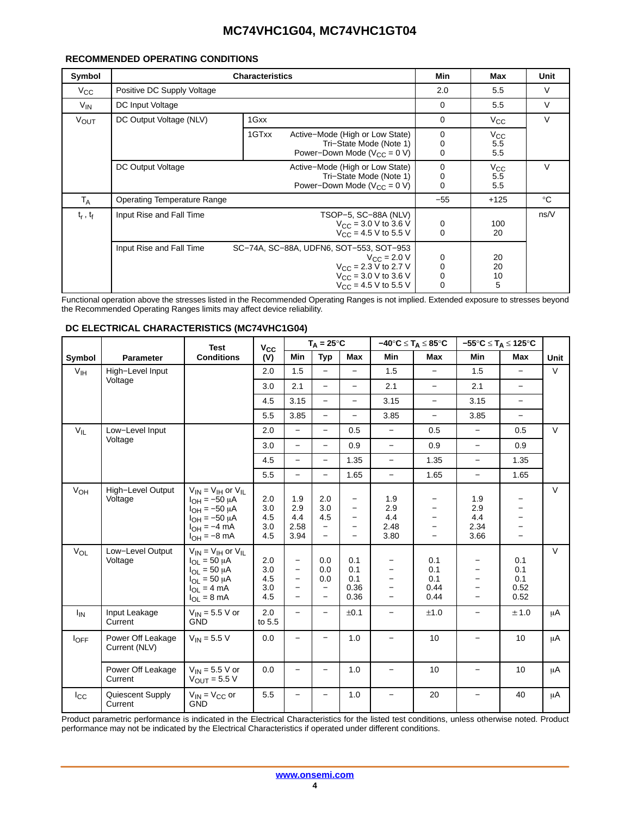### **RECOMMENDED OPERATING CONDITIONS**

| Symbol        |                                    | Min                                                                                                                                                                                         | Max                                       | Unit                       |             |
|---------------|------------------------------------|---------------------------------------------------------------------------------------------------------------------------------------------------------------------------------------------|-------------------------------------------|----------------------------|-------------|
| $V_{\rm CC}$  | Positive DC Supply Voltage         | 2.0                                                                                                                                                                                         | 5.5                                       | V                          |             |
| $V_{IN}$      | DC Input Voltage                   | $\Omega$                                                                                                                                                                                    | 5.5                                       | V                          |             |
| <b>VOUT</b>   | DC Output Voltage (NLV)            | 1Gxx                                                                                                                                                                                        | 0                                         | $V_{\rm CC}$               | V           |
|               |                                    | 1GTxx<br>Active-Mode (High or Low State)<br>Tri-State Mode (Note 1)<br>Power-Down Mode ( $V_{CC}$ = 0 V)                                                                                    | 0<br>0<br>0                               | $V_{CC}$<br>5.5<br>5.5     |             |
|               | DC Output Voltage                  | Active-Mode (High or Low State)<br>Tri-State Mode (Note 1)<br>Power-Down Mode ( $V_{CC} = 0 V$ )                                                                                            | 0<br>0<br>0                               | $V_{CC}$<br>5.5<br>5.5     | $\vee$      |
| $T_A$         | <b>Operating Temperature Range</b> |                                                                                                                                                                                             | $-55$                                     | $+125$                     | $^{\circ}C$ |
| $t_r$ , $t_f$ | Input Rise and Fall Time           | TSOP-5, SC-88A (NLV)<br>$V_{\text{CC}} = 3.0 \text{ V}$ to 3.6 V<br>$V_{CC} = 4.5 V$ to 5.5 V                                                                                               | 0<br>0                                    | 100<br>20                  | ns/V        |
|               | Input Rise and Fall Time           | SC-74A, SC-88A, UDFN6, SOT-553, SOT-953<br>$V_{\rm CC}$ = 2.0 V<br>$V_{\text{CC}} = 2.3 \text{ V}$ to 2.7 V<br>$V_{\text{CC}}$ = 3.0 V to 3.6 V<br>$V_{\text{CC}} = 4.5 \text{ V}$ to 5.5 V | $\begin{matrix} 0 \\ 0 \\ 0 \end{matrix}$ | 20<br>20<br>$\frac{10}{5}$ |             |

Functional operation above the stresses listed in the Recommended Operating Ranges is not implied. Extended exposure to stresses beyond the Recommended Operating Ranges limits may affect device reliability.

|                 |                                    | <b>Test</b>                                                                                                                                                | Vcc                             |                                         | $T_A = 25^{\circ}C$                                                |                                                                                            |                                                                     | $-40^{\circ}C \leq T_A \leq 85^{\circ}C$ |                                   | $-55^{\circ}C \leq T_A \leq 125^{\circ}C$ |         |
|-----------------|------------------------------------|------------------------------------------------------------------------------------------------------------------------------------------------------------|---------------------------------|-----------------------------------------|--------------------------------------------------------------------|--------------------------------------------------------------------------------------------|---------------------------------------------------------------------|------------------------------------------|-----------------------------------|-------------------------------------------|---------|
| Symbol          | <b>Parameter</b>                   | <b>Conditions</b>                                                                                                                                          | (V)                             | <b>Min</b>                              | <b>Typ</b>                                                         | Max                                                                                        | <b>Min</b>                                                          | Max                                      | Min                               | Max                                       | Unit    |
| V <sub>IH</sub> | High-Level Input                   |                                                                                                                                                            | 2.0                             | 1.5                                     | $\equiv$                                                           | $\overline{\phantom{0}}$                                                                   | 1.5                                                                 | $\equiv$                                 | 1.5                               |                                           | V       |
|                 | Voltage                            |                                                                                                                                                            | 3.0                             | 2.1                                     | $\overline{\phantom{0}}$                                           | $\overline{\phantom{0}}$                                                                   | 2.1                                                                 | $\overline{\phantom{m}}$                 | 2.1                               | $\overline{\phantom{0}}$                  |         |
|                 |                                    |                                                                                                                                                            | 4.5                             | 3.15                                    | $\overline{\phantom{0}}$                                           | $\overline{\phantom{0}}$                                                                   | 3.15                                                                | $\qquad \qquad -$                        | 3.15                              | $\overline{\phantom{0}}$                  |         |
|                 |                                    |                                                                                                                                                            | 5.5                             | 3.85                                    | $\qquad \qquad -$                                                  | $\overline{\phantom{0}}$                                                                   | 3.85                                                                | $\equiv$                                 | 3.85                              | $\equiv$                                  |         |
| $V_{IL}$        | Low-Level Input                    |                                                                                                                                                            | 2.0                             | $\equiv$                                | $\equiv$                                                           | 0.5                                                                                        | $\overline{\phantom{0}}$                                            | 0.5                                      | $\equiv$                          | 0.5                                       | V       |
|                 | Voltage                            |                                                                                                                                                            | 3.0                             | $\equiv$                                | $\overline{\phantom{0}}$                                           | 0.9                                                                                        | $\overline{\phantom{0}}$                                            | 0.9                                      | $-$                               | 0.9                                       |         |
|                 |                                    |                                                                                                                                                            | 4.5                             | $\overline{\phantom{0}}$                | $\overline{\phantom{0}}$                                           | 1.35                                                                                       | $\qquad \qquad -$                                                   | 1.35                                     | $\overline{\phantom{a}}$          | 1.35                                      |         |
|                 |                                    |                                                                                                                                                            | 5.5                             | $\overline{\phantom{0}}$                |                                                                    | 1.65                                                                                       | $\overline{\phantom{0}}$                                            | 1.65                                     | $\qquad \qquad -$                 | 1.65                                      |         |
| V <sub>OH</sub> | High-Level Output<br>Voltage       | $V_{IN}$ = $V_{IH}$ or $V_{II}$<br>$I_{OH} = -50 \mu A$<br>$I_{OH} = -50 \mu A$<br>$I_{OH} = -50 \mu A$<br>$I_{OH} = -4 \overline{m}A$<br>$I_{OH} = -8$ mA | 2.0<br>3.0<br>4.5<br>3.0<br>4.5 | 1.9<br>2.9<br>4.4<br>2.58<br>3.94       | 2.0<br>3.0<br>4.5<br>$\overline{\phantom{0}}$<br>$\qquad \qquad -$ | $\overline{\phantom{0}}$<br>$\overline{\phantom{0}}$<br>$\overline{\phantom{0}}$<br>-<br>- | 1.9<br>2.9<br>4.4<br>2.48<br>3.80                                   | $\overline{\phantom{0}}$                 | 1.9<br>2.9<br>4.4<br>2.34<br>3.66 |                                           | $\vee$  |
| $V_{OL}$        | Low-Level Output<br>Voltage        | $V_{IN} = V_{IH}$ or $V_{IL}$<br>$I_{OL}$ = 50 µA<br>$I_{OL}$ = 50 µA<br>$I_{OL}$ = 50 µA<br>$I_{OL} = 4 mA$<br>$I_{OL} = 8 \text{ mA}$                    | 2.0<br>3.0<br>4.5<br>3.0<br>4.5 | -<br>$\overline{\phantom{0}}$<br>—<br>- | 0.0<br>0.0<br>0.0<br>$\overline{\phantom{m}}$                      | 0.1<br>0.1<br>0.1<br>0.36<br>0.36                                                          | —<br>$\overline{\phantom{0}}$<br>-<br>$\overline{\phantom{0}}$<br>- | 0.1<br>0.1<br>0.1<br>0.44<br>0.44        |                                   | 0.1<br>0.1<br>0.1<br>0.52<br>0.52         | V       |
| $I_{IN}$        | Input Leakage<br>Current           | $V_{IN}$ = 5.5 V or<br><b>GND</b>                                                                                                                          | 2.0<br>to 5.5                   | -                                       | $\overline{\phantom{0}}$                                           | ±0.1                                                                                       | -                                                                   | ±1.0                                     | —                                 | ± 1.0                                     | μA      |
| $I_{OFF}$       | Power Off Leakage<br>Current (NLV) | $V_{IN}$ = 5.5 V                                                                                                                                           | 0.0                             |                                         |                                                                    | 1.0                                                                                        |                                                                     | 10                                       |                                   | 10                                        | $\mu$ A |
|                 | Power Off Leakage<br>Current       | $V_{IN}$ = 5.5 V or<br>$V_{OIII}$ = 5.5 V                                                                                                                  | 0.0                             | -                                       | $\overline{\phantom{0}}$                                           | 1.0                                                                                        | $\overline{\phantom{0}}$                                            | 10                                       | $\qquad \qquad -$                 | 10                                        | μA      |
| $I_{\rm CC}$    | Quiescent Supply<br>Current        | $V_{IN} = V_{CC}$ or<br><b>GND</b>                                                                                                                         | 5.5                             |                                         |                                                                    | 1.0                                                                                        | $\overline{\phantom{0}}$                                            | 20                                       | $\overline{\phantom{0}}$          | 40                                        | μA      |

#### **DC ELECTRICAL CHARACTERISTICS (MC74VHC1G04)**

Product parametric performance is indicated in the Electrical Characteristics for the listed test conditions, unless otherwise noted. Product performance may not be indicated by the Electrical Characteristics if operated under different conditions.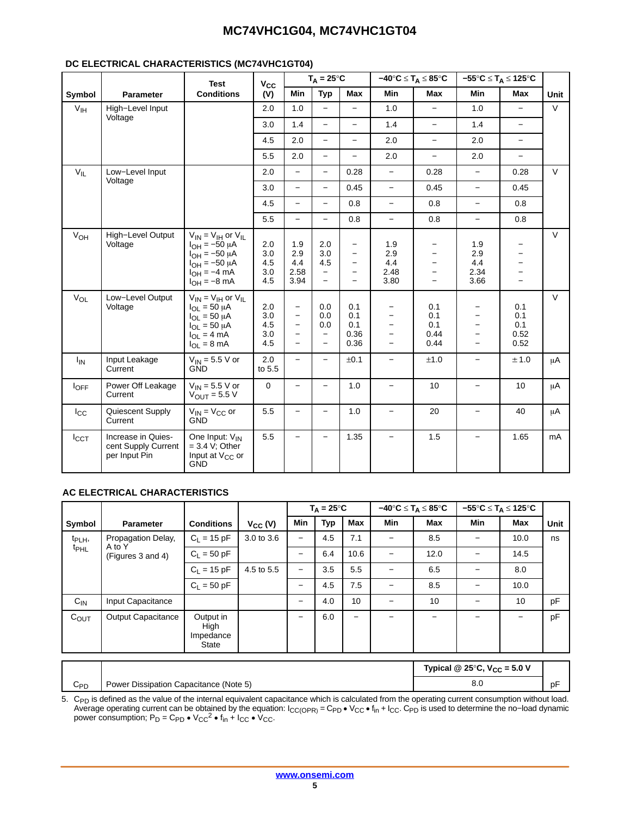### **DC ELECTRICAL CHARACTERISTICS (MC74VHC1GT04)**

|                  |                                                            | <b>Test</b>                                                                                                                                                  | $V_{CC}$                        |                                                                         | $T_A = 25^{\circ}C$                                                       |                                                                                                       | $-40^{\circ}C \leq T_A \leq 85^{\circ}C$                                                                     |                                               |                                                                              | $-55^{\circ}C \leq T_A \leq 125^{\circ}C$                               |             |
|------------------|------------------------------------------------------------|--------------------------------------------------------------------------------------------------------------------------------------------------------------|---------------------------------|-------------------------------------------------------------------------|---------------------------------------------------------------------------|-------------------------------------------------------------------------------------------------------|--------------------------------------------------------------------------------------------------------------|-----------------------------------------------|------------------------------------------------------------------------------|-------------------------------------------------------------------------|-------------|
| Symbol           | <b>Parameter</b>                                           | <b>Conditions</b>                                                                                                                                            | (V)                             | Min                                                                     | <b>Typ</b>                                                                | Max                                                                                                   | Min                                                                                                          | Max                                           | Min                                                                          | Max                                                                     | <b>Unit</b> |
| $V_{\text{IH}}$  | High-Level Input                                           |                                                                                                                                                              | 2.0                             | 1.0                                                                     | $\qquad \qquad -$                                                         | $\overline{\phantom{0}}$                                                                              | 1.0                                                                                                          | $\equiv$                                      | 1.0                                                                          | $\equiv$                                                                | $\vee$      |
|                  | Voltage                                                    |                                                                                                                                                              | 3.0                             | 1.4                                                                     | $\overline{\phantom{0}}$                                                  | $\equiv$                                                                                              | 1.4                                                                                                          | $\qquad \qquad -$                             | 1.4                                                                          | $\overline{\phantom{0}}$                                                |             |
|                  |                                                            |                                                                                                                                                              | 4.5                             | 2.0                                                                     | $\overline{\phantom{0}}$                                                  |                                                                                                       | 2.0                                                                                                          | $\overline{\phantom{0}}$                      | 2.0                                                                          | $\overline{\phantom{0}}$                                                |             |
|                  |                                                            |                                                                                                                                                              | 5.5                             | 2.0                                                                     | $\qquad \qquad -$                                                         | $\overline{\phantom{0}}$                                                                              | 2.0                                                                                                          | $\overline{\phantom{0}}$                      | 2.0                                                                          | $\equiv$                                                                |             |
| $V_{IL}$         | Low-Level Input                                            |                                                                                                                                                              | 2.0                             | $\equiv$                                                                | $\overline{\phantom{0}}$                                                  | 0.28                                                                                                  | $\overline{\phantom{0}}$                                                                                     | 0.28                                          | $\overline{\phantom{0}}$                                                     | 0.28                                                                    | $\vee$      |
|                  | Voltage                                                    |                                                                                                                                                              | 3.0                             | $\equiv$                                                                | $\overline{\phantom{0}}$                                                  | 0.45                                                                                                  | $\overline{\phantom{0}}$                                                                                     | 0.45                                          | $\overline{\phantom{0}}$                                                     | 0.45                                                                    |             |
|                  |                                                            |                                                                                                                                                              | 4.5                             | $\overline{\phantom{0}}$                                                | $\overline{\phantom{0}}$                                                  | 0.8                                                                                                   | $\overline{\phantom{0}}$                                                                                     | 0.8                                           | $\overline{\phantom{0}}$                                                     | 0.8                                                                     |             |
|                  |                                                            |                                                                                                                                                              | 5.5                             | $\overline{\phantom{0}}$                                                | $\equiv$                                                                  | 0.8                                                                                                   | $\overline{\phantom{0}}$                                                                                     | 0.8                                           | $\overline{\phantom{0}}$                                                     | 0.8                                                                     |             |
| V <sub>OH</sub>  | High-Level Output<br>Voltage                               | $V_{IN} = V_{IH}$ or $V_{II}$<br>$I_{OH} = -50 \mu A$<br>$I_{OH} = -50 \mu A$<br>$I_{OH} = -50 \mu A$<br>$I_{OH} = -4$ mA<br>$I_{OH} = -8$ mA                | 2.0<br>3.0<br>4.5<br>3.0<br>4.5 | 1.9<br>2.9<br>4.4<br>2.58<br>3.94                                       | 2.0<br>3.0<br>4.5<br>$\overline{\phantom{0}}$                             | $\qquad \qquad -$<br>$\overline{\phantom{0}}$<br>$\overline{\phantom{0}}$<br>$\overline{\phantom{0}}$ | 1.9<br>2.9<br>4.4<br>2.48<br>3.80                                                                            | $\overline{\phantom{0}}$<br>$\qquad \qquad -$ | 1.9<br>2.9<br>4.4<br>2.34<br>3.66                                            | -<br>$\qquad \qquad -$<br>$\overline{\phantom{0}}$<br>$\qquad \qquad -$ | $\vee$      |
| $V_{OL}$         | Low-Level Output<br>Voltage                                | $V_{IN} = V_{IH}$ or $V_{IL}$<br>$I_{\text{OI}} = 50 \mu A$<br>$I_{OL}$ = 50 µA<br>$I_{OL} = 50 \mu A$<br>$I_{OL} = 4 \text{ mA}$<br>$I_{OL} = 8 \text{ mA}$ | 2.0<br>3.0<br>4.5<br>3.0<br>4.5 | $\qquad \qquad -$<br>$\qquad \qquad -$<br>$\qquad \qquad -$<br>$\equiv$ | 0.0<br>0.0<br>0.0<br>$\overline{\phantom{0}}$<br>$\overline{\phantom{0}}$ | 0.1<br>0.1<br>0.1<br>0.36<br>0.36                                                                     | $\overline{\phantom{0}}$<br>$\overline{\phantom{0}}$<br>$\overline{\phantom{0}}$<br>$\overline{\phantom{0}}$ | 0.1<br>0.1<br>0.1<br>0.44<br>0.44             | $\equiv$<br>$\overline{\phantom{0}}$<br>$\qquad \qquad -$<br>$\equiv$<br>$-$ | 0.1<br>0.1<br>0.1<br>0.52<br>0.52                                       | $\vee$      |
| $I_{IN}$         | Input Leakage<br>Current                                   | $V_{IN}$ = 5.5 V or<br><b>GND</b>                                                                                                                            | 2.0<br>to 5.5                   | $\overline{\phantom{0}}$                                                | $\overline{\phantom{0}}$                                                  | ±0.1                                                                                                  | $\qquad \qquad -$                                                                                            | ±1.0                                          | $\overline{\phantom{0}}$                                                     | ± 1.0                                                                   | μA          |
| $I_{\text{OFF}}$ | Power Off Leakage<br>Current                               | $V_{IN}$ = 5.5 V or<br>$V_{OUT}$ = 5.5 V                                                                                                                     | 0                               | $\qquad \qquad -$                                                       | $\overline{\phantom{0}}$                                                  | 1.0                                                                                                   | $\overline{\phantom{m}}$                                                                                     | 10                                            | $\overline{\phantom{0}}$                                                     | 10                                                                      | μA          |
| $I_{\rm CC}$     | Quiescent Supply<br>Current                                | $V_{IN} = V_{CC}$ or<br><b>GND</b>                                                                                                                           | 5.5                             |                                                                         | $\overline{\phantom{0}}$                                                  | 1.0                                                                                                   | $\overline{a}$                                                                                               | 20                                            | $\equiv$                                                                     | 40                                                                      | μA          |
| $I_{\text{CCT}}$ | Increase in Quies-<br>cent Supply Current<br>per Input Pin | One Input: V <sub>IN</sub><br>$= 3.4$ V; Other<br>Input at V <sub>CC</sub> or<br><b>GND</b>                                                                  | 5.5                             |                                                                         |                                                                           | 1.35                                                                                                  | $\overline{\phantom{0}}$                                                                                     | 1.5                                           | $\overline{\phantom{0}}$                                                     | 1.65                                                                    | mA          |

### **AC ELECTRICAL CHARACTERISTICS**

|                    |                                        |                                         |              |                 | $T_A = 25^{\circ}C$ |                          |            | $-40^{\circ}$ C $\leq$ T <sub>A</sub> $\leq$ 85 $^{\circ}$ C |                                                   | $-55^{\circ}$ C $\leq$ T <sub>A</sub> $\leq$ 125°C |             |
|--------------------|----------------------------------------|-----------------------------------------|--------------|-----------------|---------------------|--------------------------|------------|--------------------------------------------------------------|---------------------------------------------------|----------------------------------------------------|-------------|
| Symbol             | <b>Parameter</b>                       | <b>Conditions</b>                       | $V_{CC} (V)$ | <b>Min</b>      | Typ                 | Max                      | <b>Min</b> | Max                                                          | Min                                               | <b>Max</b>                                         | <b>Unit</b> |
| t <sub>PLH</sub> , | Propagation Delay,                     | $C_1 = 15 pF$                           | 3.0 to 3.6   |                 | 4.5                 | 7.1                      |            | 8.5                                                          |                                                   | 10.0                                               | ns          |
| <sup>t</sup> PHL   | A to Y<br>(Figures 3 and 4)            | $C_1 = 50 pF$                           |              |                 | 6.4                 | 10.6                     |            | 12.0                                                         |                                                   | 14.5                                               |             |
|                    |                                        | $C_1 = 15 pF$                           | 4.5 to 5.5   |                 | 3.5                 | 5.5                      |            | 6.5                                                          |                                                   | 8.0                                                |             |
|                    |                                        | $C_1 = 50$ pF                           |              |                 | 4.5                 | 7.5                      |            | 8.5                                                          |                                                   | 10.0                                               |             |
| $C_{IN}$           | Input Capacitance                      |                                         |              |                 | 4.0                 | 10                       |            | 10                                                           |                                                   | 10                                                 | pF          |
| C <sub>OUT</sub>   | <b>Output Capacitance</b>              | Output in<br>High<br>Impedance<br>State |              | $\qquad \qquad$ | 6.0                 | $\overline{\phantom{0}}$ |            |                                                              |                                                   |                                                    | pF          |
|                    |                                        |                                         |              |                 |                     |                          |            |                                                              | Typical @ 25 $\degree$ C, V <sub>CC</sub> = 5.0 V |                                                    |             |
| $C_{PD}$           | Power Dissipation Capacitance (Note 5) |                                         |              |                 |                     |                          |            | 8.0                                                          |                                                   | pF                                                 |             |

8.0 pF 5. C<sub>PD</sub> is defined as the value of the internal equivalent capacitance which is calculated from the operating current consumption without load.<br>Average operating current can be obtained by the equation: I<sub>CC(OPR)</sub> = C<sub>PD</sub>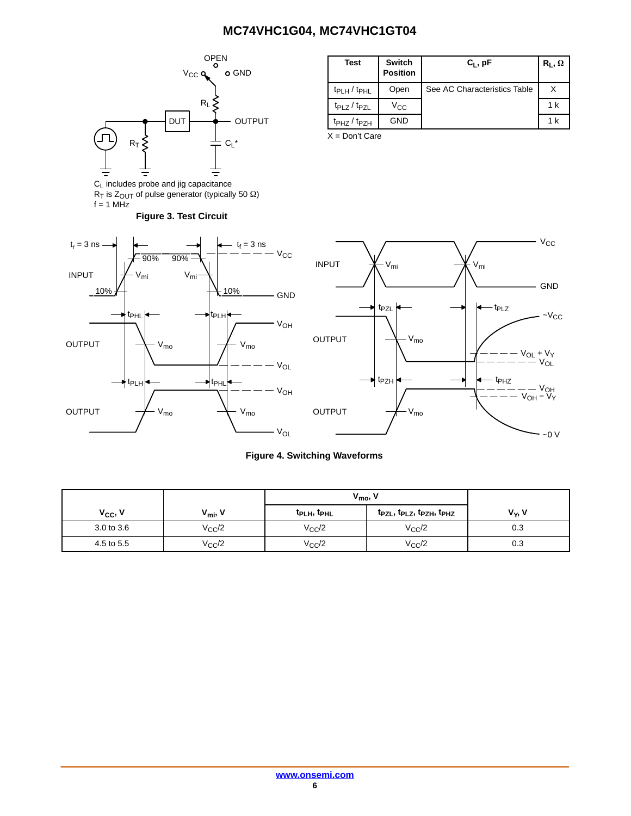<span id="page-5-0"></span>

**Figure 3. Test Circuit**

 $R_{\text{I}}$  is  $Z_{\text{OUT}}$  of pulse generator (typically 50  $\Omega$ )

 $f = 1$  MHz

| <b>Test</b>         | <b>Switch</b><br><b>Position</b> | $C_L$ , pF                   | $R_L, \Omega$ |
|---------------------|----------------------------------|------------------------------|---------------|
| $t_{PLH} / t_{PHL}$ | Open                             | See AC Characteristics Table |               |
| $t_{PLZ}/t_{PZL}$   | $V_{\rm CC}$                     |                              | 1 k           |
| $tpHZ$ / $tpZH$     | GND                              |                              | 1 k           |

X = Don't Care





### **Figure 4. Switching Waveforms**

|                     |                     | $V_{\text{mo}}$                     |                        |                    |
|---------------------|---------------------|-------------------------------------|------------------------|--------------------|
| V <sub>CC</sub> , V | $V_{\text{mi}}$ , V | t <sub>PLH</sub> , t <sub>PHL</sub> | tpzL, tpLz, tpzH, tpHz | V <sub>Y</sub> , V |
| 3.0 to 3.6          | $V_{\rm CC}$ /2     | $V_{\rm CC}/2$                      | $V_{CC}/2$             | 0.3                |
| 4.5 to 5.5          | $V_{\rm CC}$ /2     | $V_{CC}/2$                          | $V_{CC}/2$             | 0.3                |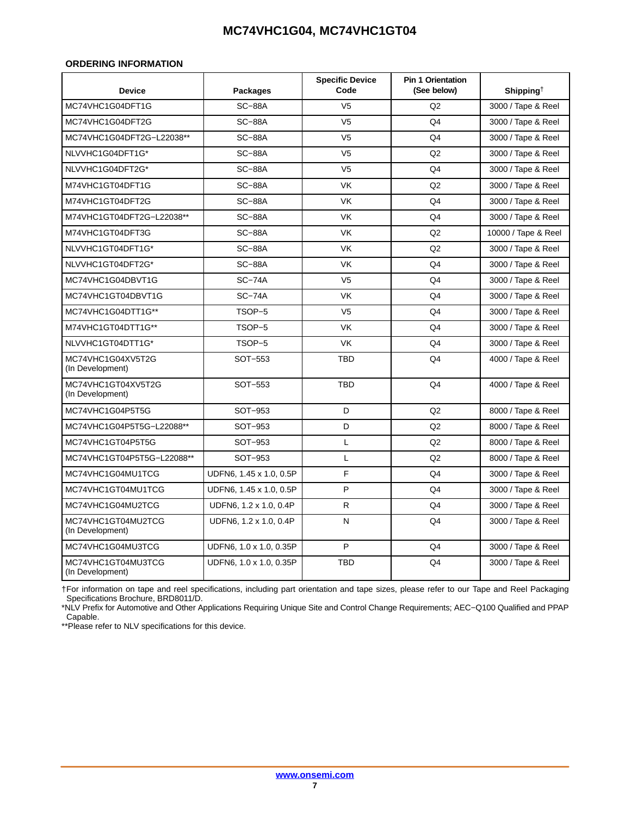### <span id="page-6-0"></span>**ORDERING INFORMATION**

| <b>Device</b>                          | <b>Packages</b>         | <b>Specific Device</b><br>Code | <b>Pin 1 Orientation</b><br>(See below) | Shipping <sup>+</sup> |
|----------------------------------------|-------------------------|--------------------------------|-----------------------------------------|-----------------------|
| MC74VHC1G04DFT1G                       | <b>SC-88A</b>           | V <sub>5</sub>                 | Q2                                      | 3000 / Tape & Reel    |
| MC74VHC1G04DFT2G                       | $SC-88A$                | V <sub>5</sub>                 | Q4                                      | 3000 / Tape & Reel    |
| MC74VHC1G04DFT2G-L22038**              | <b>SC-88A</b>           | V <sub>5</sub>                 | Q4                                      | 3000 / Tape & Reel    |
| NLVVHC1G04DFT1G*                       | <b>SC-88A</b>           | V <sub>5</sub>                 | Q2                                      | 3000 / Tape & Reel    |
| NLVVHC1G04DFT2G*                       | $SC-88A$                | V <sub>5</sub>                 | Q4                                      | 3000 / Tape & Reel    |
| M74VHC1GT04DFT1G                       | $SC-88A$                | <b>VK</b>                      | Q2                                      | 3000 / Tape & Reel    |
| M74VHC1GT04DFT2G                       | $SC-88A$                | <b>VK</b>                      | Q4                                      | 3000 / Tape & Reel    |
| M74VHC1GT04DFT2G-L22038**              | <b>SC-88A</b>           | <b>VK</b>                      | Q4                                      | 3000 / Tape & Reel    |
| M74VHC1GT04DFT3G                       | $SC-88A$                | <b>VK</b>                      | Q2                                      | 10000 / Tape & Reel   |
| NLVVHC1GT04DFT1G*                      | <b>SC-88A</b>           | <b>VK</b>                      | Q2                                      | 3000 / Tape & Reel    |
| NLVVHC1GT04DFT2G*                      | <b>SC-88A</b>           | <b>VK</b>                      | Q <sub>4</sub>                          | 3000 / Tape & Reel    |
| MC74VHC1G04DBVT1G                      | $SC-74A$                | V <sub>5</sub>                 | Q4                                      | 3000 / Tape & Reel    |
| MC74VHC1GT04DBVT1G                     | $SC-74A$                | <b>VK</b>                      | Q4                                      | 3000 / Tape & Reel    |
| MC74VHC1G04DTT1G**                     | TSOP-5                  | V <sub>5</sub>                 | Q <sub>4</sub>                          | 3000 / Tape & Reel    |
| M74VHC1GT04DTT1G**                     | TSOP-5                  | <b>VK</b>                      | Q4                                      | 3000 / Tape & Reel    |
| NLVVHC1GT04DTT1G*                      | TSOP-5                  | <b>VK</b>                      | Q <sub>4</sub>                          | 3000 / Tape & Reel    |
| MC74VHC1G04XV5T2G<br>(In Development)  | SOT-553                 | <b>TBD</b>                     | Q4                                      | 4000 / Tape & Reel    |
| MC74VHC1GT04XV5T2G<br>(In Development) | SOT-553                 | <b>TBD</b>                     | Q4                                      | 4000 / Tape & Reel    |
| MC74VHC1G04P5T5G                       | SOT-953                 | D                              | Q2                                      | 8000 / Tape & Reel    |
| MC74VHC1G04P5T5G-L22088**              | SOT-953                 | D                              | Q2                                      | 8000 / Tape & Reel    |
| MC74VHC1GT04P5T5G                      | SOT-953                 | L                              | Q2                                      | 8000 / Tape & Reel    |
| MC74VHC1GT04P5T5G-L22088**             | SOT-953                 | L                              | Q2                                      | 8000 / Tape & Reel    |
| MC74VHC1G04MU1TCG                      | UDFN6, 1.45 x 1.0, 0.5P | F                              | Q <sub>4</sub>                          | 3000 / Tape & Reel    |
| MC74VHC1GT04MU1TCG                     | UDFN6, 1.45 x 1.0, 0.5P | P                              | Q4                                      | 3000 / Tape & Reel    |
| MC74VHC1G04MU2TCG                      | UDFN6, 1.2 x 1.0, 0.4P  | R                              | Q <sub>4</sub>                          | 3000 / Tape & Reel    |
| MC74VHC1GT04MU2TCG<br>(In Development) | UDFN6, 1.2 x 1.0, 0.4P  | Ν                              | Q4                                      | 3000 / Tape & Reel    |
| MC74VHC1G04MU3TCG                      | UDFN6, 1.0 x 1.0, 0.35P | P                              | Q <sub>4</sub>                          | 3000 / Tape & Reel    |
| MC74VHC1GT04MU3TCG<br>(In Development) | UDFN6, 1.0 x 1.0, 0.35P | TBD                            | Q4                                      | 3000 / Tape & Reel    |

†For information on tape and reel specifications, including part orientation and tape sizes, please refer to our Tape and Reel Packaging Specifications Brochure, BRD8011/D.

\*NLV Prefix for Automotive and Other Applications Requiring Unique Site and Control Change Requirements; AEC−Q100 Qualified and PPAP Capable.

\*\*Please refer to NLV specifications for this device.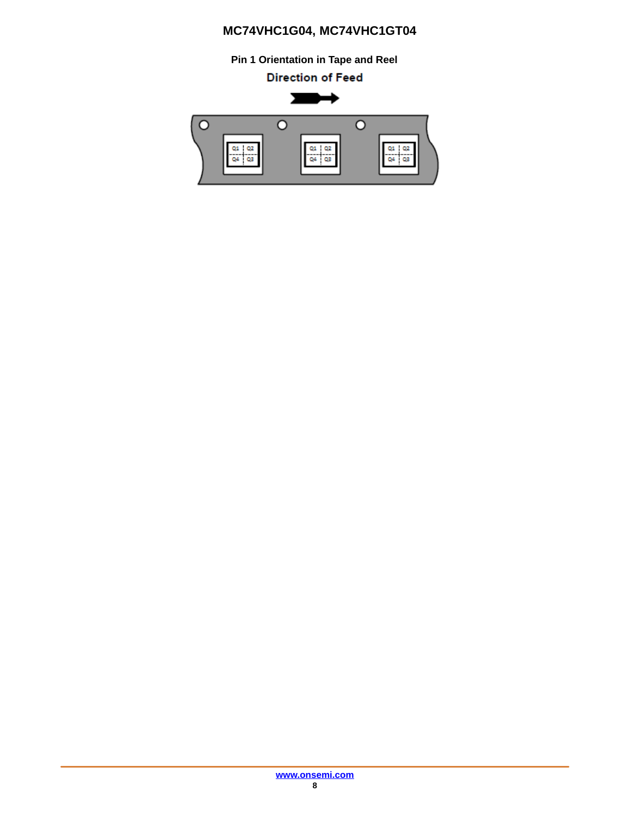**Pin 1 Orientation in Tape and Reel**

**Direction of Feed** 

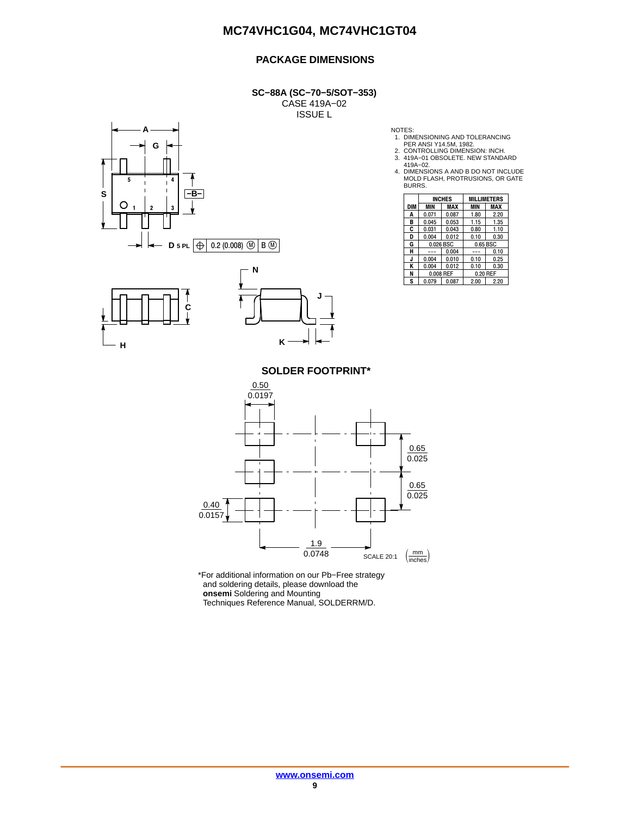### **PACKAGE DIMENSIONS**

**SC−88A (SC−70−5/SOT−353)** CASE 419A−02 ISSUE L







NOTES:

- 
- 1. DIMENSIONING AND TOLERANCING PER ANSI Y14.5M, 1982. 2. CONTROLLING DIMENSION: INCH.
- 

3. 419A−01 OBSOLETE. NEW STANDARD 419A−02. 4. DIMENSIONS A AND B DO NOT INCLUDE MOLD FLASH, PROTRUSIONS, OR GATE BURRS.

|     | <b>INCHES</b> |            | <b>MILLIMETERS</b> |          |
|-----|---------------|------------|--------------------|----------|
| DIM | MIN           | <b>MAX</b> | <b>MIN</b>         | MAX      |
| Α   | 0.071         | 0.087      | 1.80               | 2.20     |
| в   | 0.045         | 0.053      | 1.15               | 1.35     |
| C   | 0.031         | 0.043      | 0.80               | 1.10     |
| D   | 0.004         | 0.012      | 0.10               | 0.30     |
| G   | 0.026 BSC     |            | 0.65 BSC           |          |
| н   |               | 0.004      |                    | 0.10     |
| J.  | 0.004         | 0.010      | 0.10               | 0.25     |
| ĸ   | 0.004         | 0.012      | 0.10               | 0.30     |
| N   | 0.008 REF     |            |                    | 0.20 REF |
| S   | 0.079         | 0.087      | 2.00               | 2.20     |

**SOLDER FOOTPRINT\***

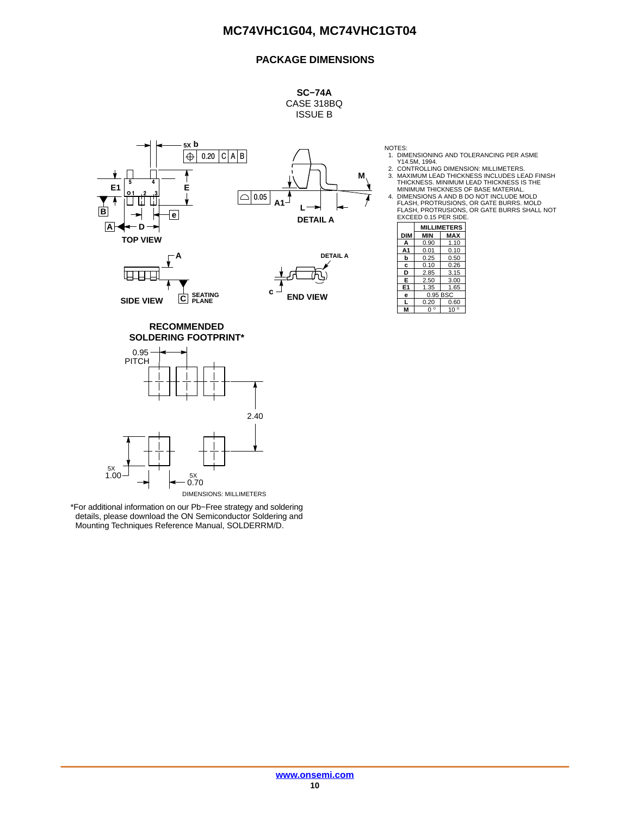### **PACKAGE DIMENSIONS**

**SC−74A** CASE 318BQ ISSUE B



↓ प्राप्तम **C SEATING PLANE SIDE VIEW**

**c END VIEW** NOTES:

1. DIMENSIONING AND TOLERANCING PER ASME<br>214.5M, 1994.<br>2. CONTROLLING DIMENSION: MILLIMETERS.<br>3. MAXIMUM LEAD THICKNESS INCLUDES LEAD FINISH<br>THICKNESS. MINIMUM LEAD THICKNESS IS THE

MINIMUM THICKNESS OF BASE MATERIAL. 4. DIMENSIONS A AND B DO NOT INCLUDE MOLD FLASH, PROTRUSIONS, OR GATE BURRS. MOLD FLASH, PROTRUSIONS, OR GATE BURRS SHALL NOT EXCEED 0.15 PER SIDE.

|                | <b>MILLIMETERS</b> |         |  |
|----------------|--------------------|---------|--|
| <b>DIM</b>     | MIN                | MAX     |  |
| А              | 0.90               | 1.10    |  |
| A1             | 0.01               | 0.10    |  |
| b              | 0.25               | 0.50    |  |
| c              | 0.10               | 0.26    |  |
| D              | 2.85               | 3.15    |  |
| E              | 2.50               | 3.00    |  |
| E <sub>1</sub> | 1.35               | 1.65    |  |
| e              | 0.95 BSC           |         |  |
| L              | 0.20               | 0.60    |  |
|                | $\circ$            | O<br>10 |  |

**SOLDERING FOOTPRINT\* RECOMMENDED**

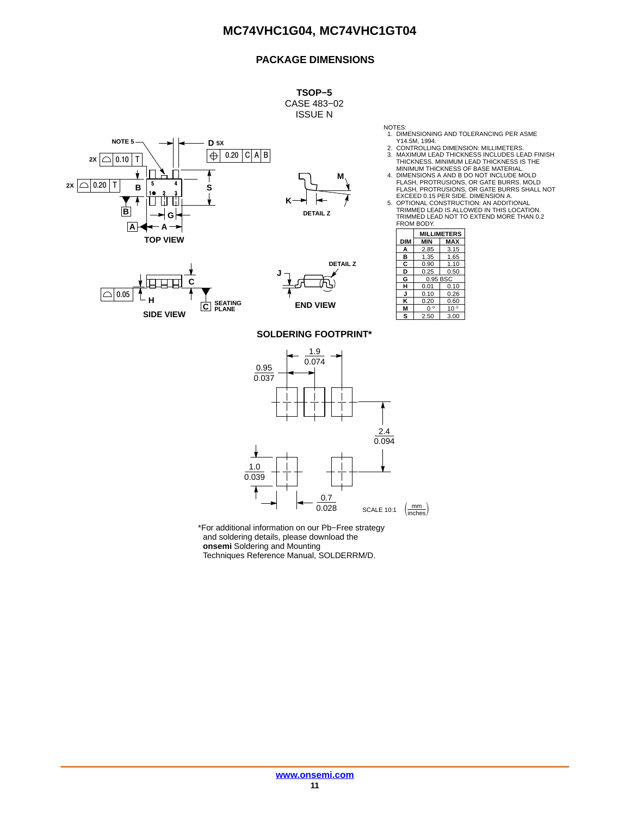### **PACKAGE DIMENSIONS**

**TSOP−5** CASE 483−02 ISSUE N

**M**

- NOTES: 1. DIMENSIONING AND TOLERANCING PER ASME Y14.5M, 1994. 2. CONTROLLING DIMENSION: MILLIMETERS.
- 3. MAXIMUM LEAD THICKNESS INCLUDES LEAD FINISH THICKNESS. MINIMUM LEAD THICKNESS IS THE
- MINIMUM THICKNESS OF BASE MATERIAL.<br>4. DIMENSIONS A AND B DO NOT INCLUDE MOLD<br>FLASH, PROTRUSIONS, OR GATE BURRS. MOLD<br>LASH, PROTRUSIONS, OR GATE BURRS SHALL NOT<br>EXCEED 0.15 PER SIDE. DIMENSION A.
- 
- 5. OPTIONAL CONSTRUCTION: AN ADDITIONAL TRIMMED LEAD IS ALLOWED IN THIS LOCATION. TRIMMED LEAD NOT TO EXTEND MORE THAN 0.2 FROM BODY.

|            | <b>MILLIMETERS</b> |              |  |
|------------|--------------------|--------------|--|
| <b>DIM</b> | <b>MIN</b>         | MAX          |  |
| А          | 2.85               | 3.15         |  |
| в          | 1.35               | 1.65         |  |
| С          | 0.90               | 1.10         |  |
| D          | 0.25               | 0.50         |  |
| G          | 0.95 BSC           |              |  |
| н          | 0.01               | 0.10         |  |
|            | 0.10               | 0.26         |  |
| κ          | 0.20               | 0.60         |  |
| м          | $\circ$<br>O       | $10^{\circ}$ |  |
| s          | 2.50               | 3.00         |  |







**DETAIL Z**

**K**

**SOLDERING FOOTPRINT\***

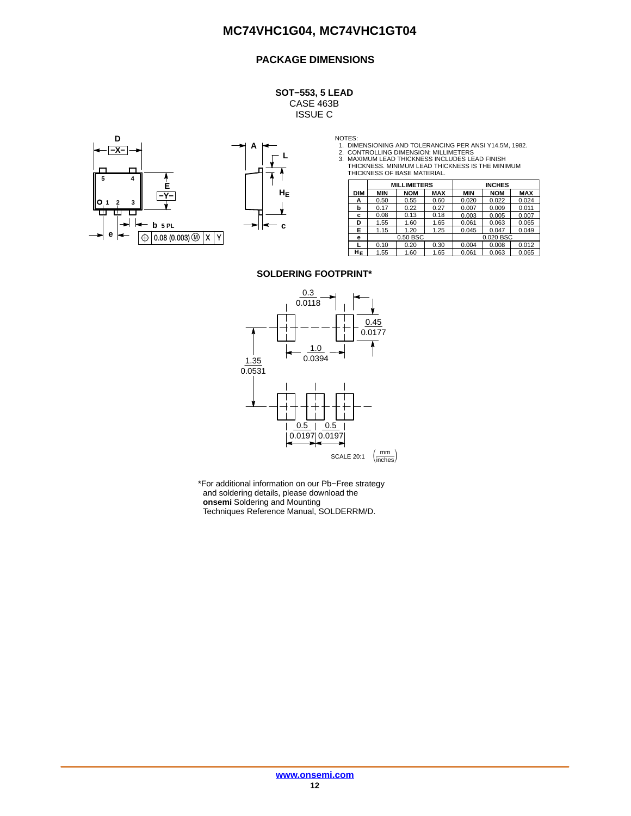### **PACKAGE DIMENSIONS**

**SOT−553, 5 LEAD** CASE 463B ISSUE C





NOTES:<br>1. DIMENSIONING AND TOLERANCING PER ANSI Y14.5M, 1982.<br>2. CONTROLLING DIMENSION: MILLIMETERS<br>3. MAXIMUM LEAD THICKNESS INCLUDES LEAD FINISH<br>THICKNESS. MINIMUM LEAD TO THICKNESS IS THE MINIMUM<br>THICKNESS OF BASE MATER

|            | <b>MILLIMETERS</b> |            |            |            | <b>INCHES</b> |            |
|------------|--------------------|------------|------------|------------|---------------|------------|
| <b>DIM</b> | <b>MIN</b>         | <b>NOM</b> | <b>MAX</b> | <b>MIN</b> | <b>NOM</b>    | <b>MAX</b> |
| А          | 0.50               | 0.55       | 0.60       | 0.020      | 0.022         | 0.024      |
| b          | 0.17               | 0.22       | 0.27       | 0.007      | 0.009         | 0.011      |
| c          | 0.08               | 0.13       | 0.18       | 0.003      | 0.005         | 0.007      |
| D          | 1.55               | 1.60       | 1.65       | 0.061      | 0.063         | 0.065      |
| Е          | 1.15               | 1.20       | 1.25       | 0.045      | 0.047         | 0.049      |
| е          |                    | 0.50 BSC   |            |            | 0.020 BSC     |            |
|            | 0.10               | 0.20       | 0.30       | 0.004      | 0.008         | 0.012      |
| HΕ         | 1.55               | 1.60       | 1.65       | 0.061      | 0.063         | 0.065      |

#### **SOLDERING FOOTPRINT\***

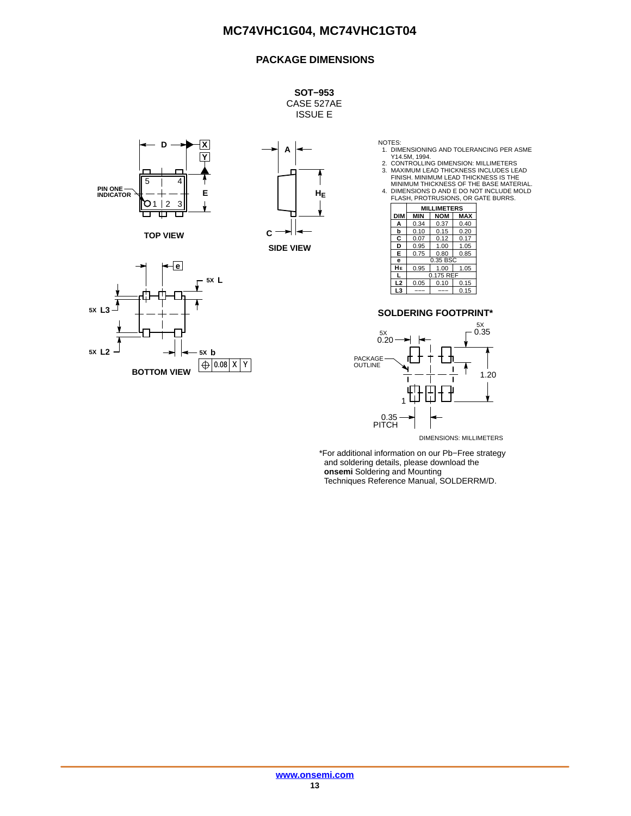### **PACKAGE DIMENSIONS**

**SOT−953** CASE 527AE ISSUE E



**TOP VIEW**





NOTES:<br>
1. DIMENSIONING AND TOLERANCING PER ASME<br>
2. CONTROLLING DIMENSION: MILLIMETERS<br>
2. CONTROLLING DIMENSION: MILLIMETERS<br>
3. MAXIMUM LEAD THICKNESS INCLUDES LEAD<br>
FINISH. MINIMUM LEAD THICKNESS IS THE<br>
MINIMUM THICKN

|                | <b>MILLIMETERS</b> |            |            |
|----------------|--------------------|------------|------------|
| <b>DIM</b>     | <b>MIN</b>         | <b>NOM</b> | <b>MAX</b> |
| A              | 0.34               | 0.37       | 0.40       |
| b              | 0.10               | 0.15       | 0.20       |
| C              | 0.07               | 0.12       | 0.17       |
| D              | 0.95               | 1.00       | 1.05       |
| Е              | 0.75               | 0.80       | 0.85       |
| e              | 0.35 BSC           |            |            |
| HЕ             | 0.95               | 1.00       | 1.05       |
| L              | 0.175 REF          |            |            |
| L <sub>2</sub> | 0.05               | 0.10       | 0.15       |
| L3             |                    |            | 0.15       |

#### **SOLDERING FOOTPRINT\***



DIMENSIONS: MILLIMETERS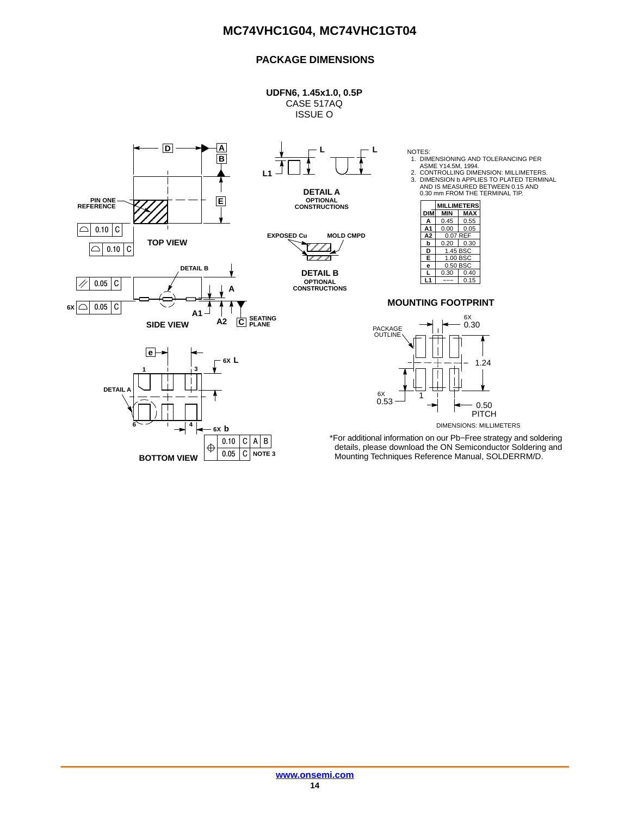### **PACKAGE DIMENSIONS**

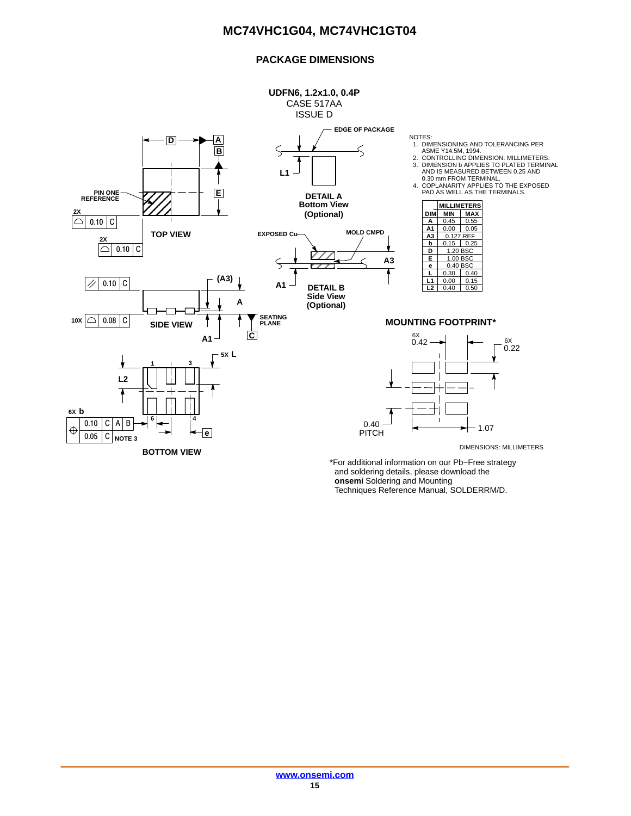### **PACKAGE DIMENSIONS**